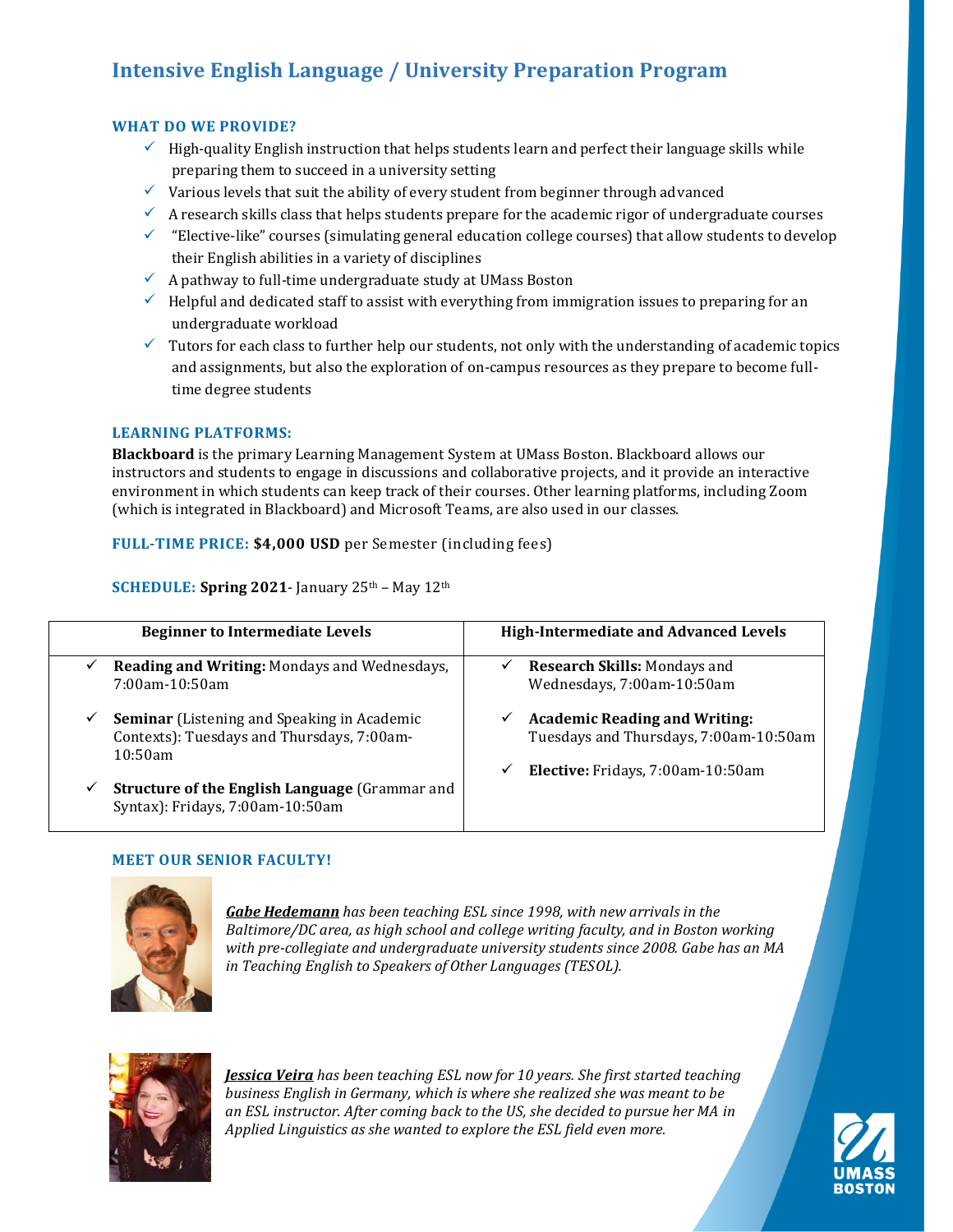# **Intensive English Language / University Preparation Program**

## **WHAT DO WE PROVIDE?**

- $\checkmark$  High-quality English instruction that helps students learn and perfect their language skills while preparing them to succeed in a university setting
- $\checkmark$  Various levels that suit the ability of every student from beginner through advanced
- $\checkmark$  A research skills class that helps students prepare for the academic rigor of undergraduate courses
- $\checkmark$  "Elective-like" courses (simulating general education college courses) that allow students to develop their English abilities in a variety of disciplines
- $\checkmark$  A pathway to full-time undergraduate study at UMass Boston
- $\checkmark$  Helpful and dedicated staff to assist with everything from immigration issues to preparing for an undergraduate workload
- $\checkmark$  Tutors for each class to further help our students, not only with the understanding of academic topics and assignments, but also the exploration of on-campus resources as they prepare to become fulltime degree students

## **LEARNING PLATFORMS:**

**Blackboard** is the primary Learning Management System at UMass Boston. Blackboard allows our instructors and students to engage in discussions and collaborative projects, and it provide an interactive environment in which students can keep track of their courses. Other learning platforms, including Zoom (which is integrated in Blackboard) and Microsoft Teams, are also used in our classes.

**FULL-TIME PRICE: \$4,000 USD** per Semester (including fees)

**SCHEDULE: Spring 2021** - January 25<sup>th</sup> – May 12<sup>th</sup>

| <b>Beginner to Intermediate Levels</b>                                                                                      | <b>High-Intermediate and Advanced Levels</b>                                                                                         |
|-----------------------------------------------------------------------------------------------------------------------------|--------------------------------------------------------------------------------------------------------------------------------------|
| Reading and Writing: Mondays and Wednesdays,<br>$\checkmark$<br>$7:00$ am-10:50am                                           | <b>Research Skills: Mondays and</b><br>✓<br>Wednesdays, 7:00am-10:50am                                                               |
| <b>Seminar</b> (Listening and Speaking in Academic<br>$\checkmark$<br>Contexts): Tuesdays and Thursdays, 7:00am-<br>10:50am | <b>Academic Reading and Writing:</b><br>✓<br>Tuesdays and Thursdays, 7:00am-10:50am<br><b>Elective:</b> Fridays, 7:00am-10:50am<br>✓ |
| <b>Structure of the English Language (Grammar and</b><br>$\checkmark$<br>Syntax): Fridays, 7:00am-10:50am                   |                                                                                                                                      |

## **MEET OUR SENIOR FACULTY!**



*Gabe Hedemann has been teaching ESL since 1998, with new arrivals in the Baltimore/DC area, as high school and college writing faculty, and in Boston working with pre-collegiate and undergraduate university students since 2008. Gabe has an MA in Teaching English to Speakers of Other Languages (TESOL).*



*Jessica Veira has been teaching ESL now for 10 years. She first started teaching business English in Germany, which is where she realized she was meant to be an ESL instructor. After coming back to the US, she decided to pursue her MA in Applied Linguistics as she wanted to explore the ESL field even more.*

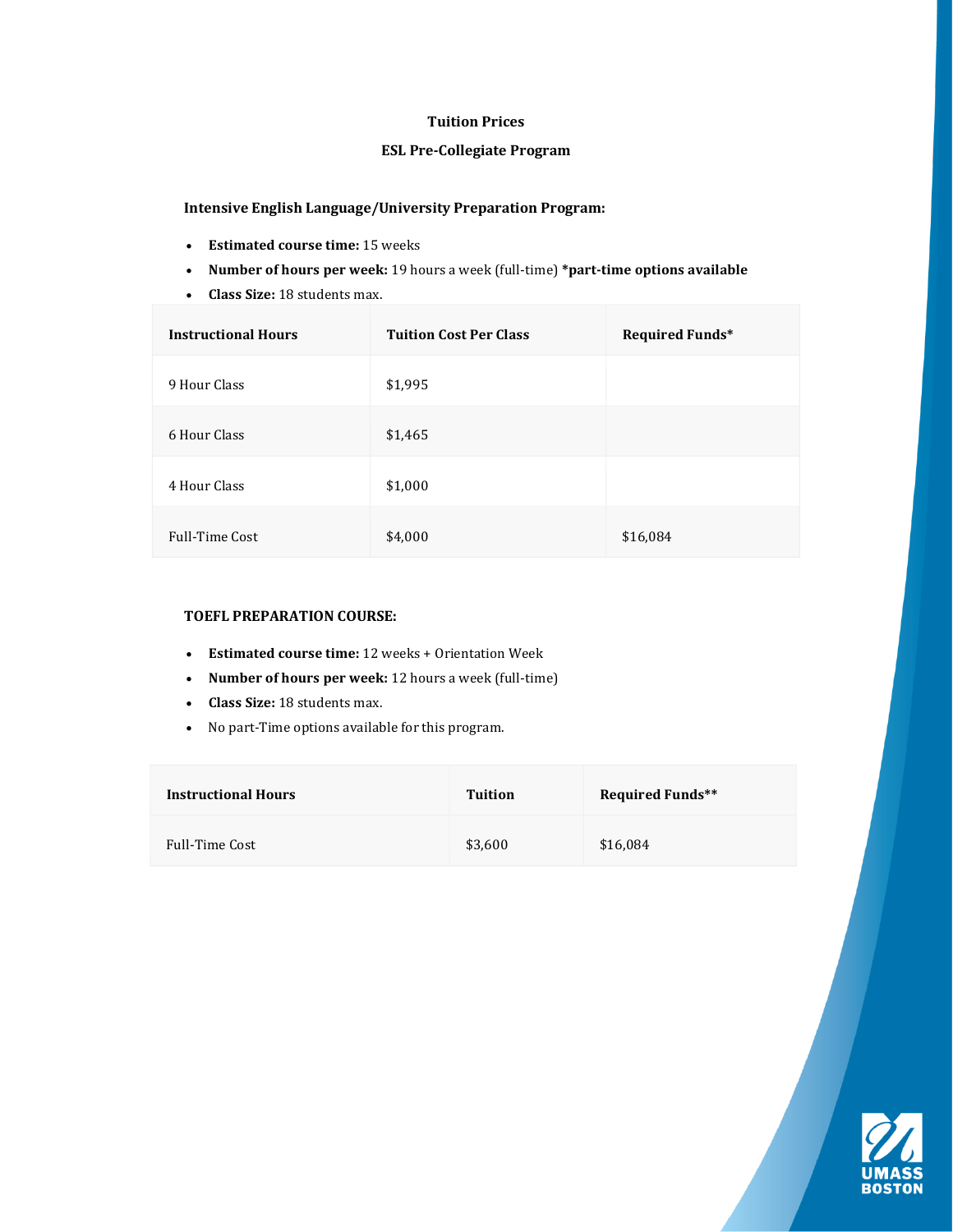## **Tuition Prices**

## **ESL Pre-Collegiate Program**

## **Intensive English Language/University Preparation Program:**

- •**Estimated course time:** 15 weeks
- •**Number of hours per week:** 19 hours a week (full-time) \*part-time options available
- **Class Size:** 18 students max.

| <b>Instructional Hours</b> | <b>Tuition Cost Per Class</b> | <b>Required Funds*</b> |
|----------------------------|-------------------------------|------------------------|
| 9 Hour Class               | \$1,995                       |                        |
| 6 Hour Class               | \$1,465                       |                        |
| 4 Hour Class               | \$1,000                       |                        |
| <b>Full-Time Cost</b>      | \$4,000                       | \$16,084               |

#### **TOEFL PREPARATION COURSE:**

- •**Estimated course time:** 12 weeks + Orientation Week
- •**Number of hours per week:** 12 hours a week (full-time)
- •**Class Size:** 18 students max.
- •No part-Time options available for this program.

| <b>Instructional Hours</b> | Tuition | <b>Required Funds**</b> |
|----------------------------|---------|-------------------------|
| <b>Full-Time Cost</b>      | \$3,600 | \$16,084                |